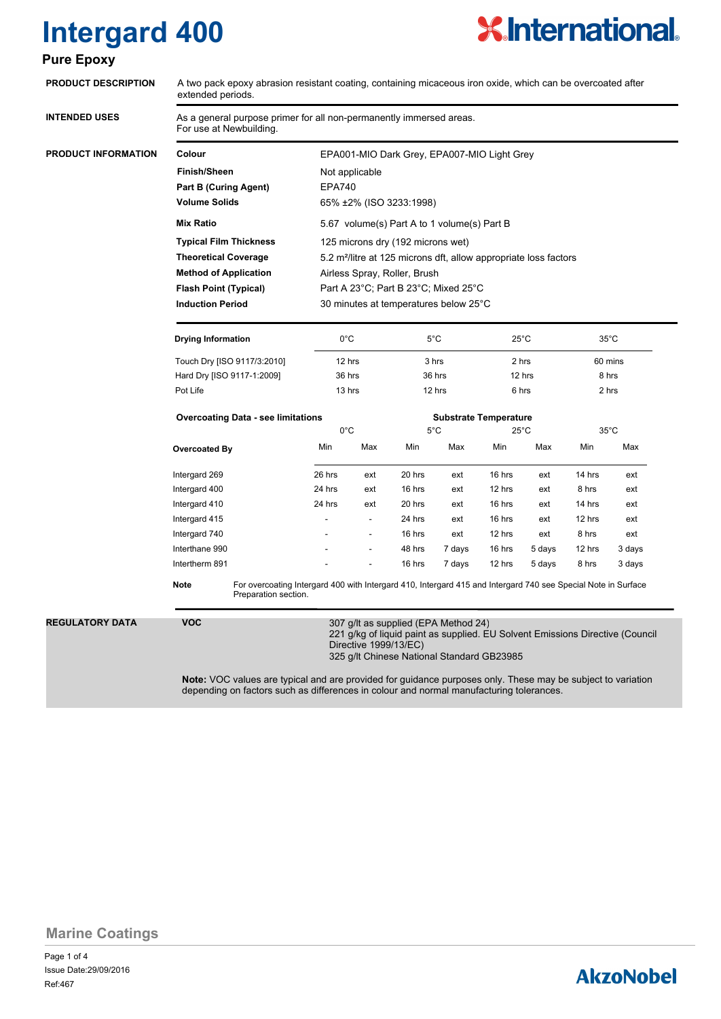# **Intergard 400**

### **Pure**



| As a general purpose primer for all non-permanently immersed areas.<br>For use at Newbuilding.<br>Colour<br>EPA001-MIO Dark Grey, EPA007-MIO Light Grey<br><b>Finish/Sheen</b><br>Not applicable<br><b>Part B (Curing Agent)</b><br><b>EPA740</b><br><b>Volume Solids</b><br>65% ±2% (ISO 3233:1998)<br><b>Mix Ratio</b><br>5.67 volume(s) Part A to 1 volume(s) Part B<br><b>Typical Film Thickness</b><br>125 microns dry (192 microns wet)<br><b>Theoretical Coverage</b><br>5.2 m <sup>2</sup> /litre at 125 microns dft, allow appropriate loss factors<br><b>Method of Application</b><br>Airless Spray, Roller, Brush<br>Part A 23°C; Part B 23°C; Mixed 25°C<br><b>Flash Point (Typical)</b><br><b>Induction Period</b><br>30 minutes at temperatures below 25°C<br>$0^{\circ}$ C<br><b>Drying Information</b><br>$5^{\circ}$ C<br>$25^{\circ}$ C<br>$35^{\circ}$ C<br>Touch Dry [ISO 9117/3:2010]<br>12 hrs<br>3 hrs<br>2 hrs<br>60 mins<br>36 hrs<br>Hard Dry [ISO 9117-1:2009]<br>36 hrs<br>12 hrs<br>8 hrs<br>12 hrs<br>Pot Life<br>13 hrs<br>6 hrs<br>2 hrs<br><b>Overcoating Data - see limitations</b><br><b>Substrate Temperature</b><br>$0^{\circ}$ C<br>$5^{\circ}$ C<br>$25^{\circ}$ C<br>$35^{\circ}$ C<br>Min<br>Min<br>Min<br>Max<br>Min<br>Max<br>Max<br>Overcoated By<br>Intergard 269<br>26 hrs<br>20 hrs<br>16 hrs<br>14 hrs<br>ext<br>ext<br>ext<br>Intergard 400<br>24 hrs<br>16 hrs<br>ext<br>ext<br>12 hrs<br>ext<br>8 hrs<br>Intergard 410<br>24 hrs<br>20 hrs<br>16 hrs<br>14 hrs<br>ext<br>ext<br>ext<br>Intergard 415<br>24 hrs<br>16 hrs<br>12 hrs<br>ext<br>ext<br>٠<br>Intergard 740<br>16 hrs<br>ext<br>12 hrs<br>8 hrs<br>ext<br>$\overline{a}$<br>Interthane 990<br>48 hrs<br>7 days<br>16 hrs<br>5 days<br>12 hrs<br>Intertherm 891<br>16 hrs<br>7 days<br>12 hrs<br>5 days<br>8 hrs<br><b>Note</b><br>For overcoating Intergard 400 with Intergard 410, Intergard 415 and Intergard 740 see Special Note in Surface<br>Preparation section.<br><b>VOC</b> | <b>PRODUCT DESCRIPTION</b> | A two pack epoxy abrasion resistant coating, containing micaceous iron oxide, which can be overcoated after<br>extended periods. |  |  |  |  |  |  |  |        |
|-----------------------------------------------------------------------------------------------------------------------------------------------------------------------------------------------------------------------------------------------------------------------------------------------------------------------------------------------------------------------------------------------------------------------------------------------------------------------------------------------------------------------------------------------------------------------------------------------------------------------------------------------------------------------------------------------------------------------------------------------------------------------------------------------------------------------------------------------------------------------------------------------------------------------------------------------------------------------------------------------------------------------------------------------------------------------------------------------------------------------------------------------------------------------------------------------------------------------------------------------------------------------------------------------------------------------------------------------------------------------------------------------------------------------------------------------------------------------------------------------------------------------------------------------------------------------------------------------------------------------------------------------------------------------------------------------------------------------------------------------------------------------------------------------------------------------------------------------------------------------------------------------------------------------------------------------------------------------------------------------------|----------------------------|----------------------------------------------------------------------------------------------------------------------------------|--|--|--|--|--|--|--|--------|
|                                                                                                                                                                                                                                                                                                                                                                                                                                                                                                                                                                                                                                                                                                                                                                                                                                                                                                                                                                                                                                                                                                                                                                                                                                                                                                                                                                                                                                                                                                                                                                                                                                                                                                                                                                                                                                                                                                                                                                                                     | <b>INTENDED USES</b>       |                                                                                                                                  |  |  |  |  |  |  |  |        |
|                                                                                                                                                                                                                                                                                                                                                                                                                                                                                                                                                                                                                                                                                                                                                                                                                                                                                                                                                                                                                                                                                                                                                                                                                                                                                                                                                                                                                                                                                                                                                                                                                                                                                                                                                                                                                                                                                                                                                                                                     | <b>PRODUCT INFORMATION</b> |                                                                                                                                  |  |  |  |  |  |  |  |        |
|                                                                                                                                                                                                                                                                                                                                                                                                                                                                                                                                                                                                                                                                                                                                                                                                                                                                                                                                                                                                                                                                                                                                                                                                                                                                                                                                                                                                                                                                                                                                                                                                                                                                                                                                                                                                                                                                                                                                                                                                     |                            |                                                                                                                                  |  |  |  |  |  |  |  |        |
|                                                                                                                                                                                                                                                                                                                                                                                                                                                                                                                                                                                                                                                                                                                                                                                                                                                                                                                                                                                                                                                                                                                                                                                                                                                                                                                                                                                                                                                                                                                                                                                                                                                                                                                                                                                                                                                                                                                                                                                                     |                            |                                                                                                                                  |  |  |  |  |  |  |  |        |
|                                                                                                                                                                                                                                                                                                                                                                                                                                                                                                                                                                                                                                                                                                                                                                                                                                                                                                                                                                                                                                                                                                                                                                                                                                                                                                                                                                                                                                                                                                                                                                                                                                                                                                                                                                                                                                                                                                                                                                                                     |                            |                                                                                                                                  |  |  |  |  |  |  |  |        |
|                                                                                                                                                                                                                                                                                                                                                                                                                                                                                                                                                                                                                                                                                                                                                                                                                                                                                                                                                                                                                                                                                                                                                                                                                                                                                                                                                                                                                                                                                                                                                                                                                                                                                                                                                                                                                                                                                                                                                                                                     |                            |                                                                                                                                  |  |  |  |  |  |  |  |        |
|                                                                                                                                                                                                                                                                                                                                                                                                                                                                                                                                                                                                                                                                                                                                                                                                                                                                                                                                                                                                                                                                                                                                                                                                                                                                                                                                                                                                                                                                                                                                                                                                                                                                                                                                                                                                                                                                                                                                                                                                     |                            |                                                                                                                                  |  |  |  |  |  |  |  |        |
|                                                                                                                                                                                                                                                                                                                                                                                                                                                                                                                                                                                                                                                                                                                                                                                                                                                                                                                                                                                                                                                                                                                                                                                                                                                                                                                                                                                                                                                                                                                                                                                                                                                                                                                                                                                                                                                                                                                                                                                                     |                            |                                                                                                                                  |  |  |  |  |  |  |  |        |
|                                                                                                                                                                                                                                                                                                                                                                                                                                                                                                                                                                                                                                                                                                                                                                                                                                                                                                                                                                                                                                                                                                                                                                                                                                                                                                                                                                                                                                                                                                                                                                                                                                                                                                                                                                                                                                                                                                                                                                                                     |                            |                                                                                                                                  |  |  |  |  |  |  |  |        |
|                                                                                                                                                                                                                                                                                                                                                                                                                                                                                                                                                                                                                                                                                                                                                                                                                                                                                                                                                                                                                                                                                                                                                                                                                                                                                                                                                                                                                                                                                                                                                                                                                                                                                                                                                                                                                                                                                                                                                                                                     |                            |                                                                                                                                  |  |  |  |  |  |  |  |        |
|                                                                                                                                                                                                                                                                                                                                                                                                                                                                                                                                                                                                                                                                                                                                                                                                                                                                                                                                                                                                                                                                                                                                                                                                                                                                                                                                                                                                                                                                                                                                                                                                                                                                                                                                                                                                                                                                                                                                                                                                     |                            |                                                                                                                                  |  |  |  |  |  |  |  |        |
|                                                                                                                                                                                                                                                                                                                                                                                                                                                                                                                                                                                                                                                                                                                                                                                                                                                                                                                                                                                                                                                                                                                                                                                                                                                                                                                                                                                                                                                                                                                                                                                                                                                                                                                                                                                                                                                                                                                                                                                                     |                            |                                                                                                                                  |  |  |  |  |  |  |  |        |
|                                                                                                                                                                                                                                                                                                                                                                                                                                                                                                                                                                                                                                                                                                                                                                                                                                                                                                                                                                                                                                                                                                                                                                                                                                                                                                                                                                                                                                                                                                                                                                                                                                                                                                                                                                                                                                                                                                                                                                                                     |                            |                                                                                                                                  |  |  |  |  |  |  |  |        |
|                                                                                                                                                                                                                                                                                                                                                                                                                                                                                                                                                                                                                                                                                                                                                                                                                                                                                                                                                                                                                                                                                                                                                                                                                                                                                                                                                                                                                                                                                                                                                                                                                                                                                                                                                                                                                                                                                                                                                                                                     |                            |                                                                                                                                  |  |  |  |  |  |  |  |        |
|                                                                                                                                                                                                                                                                                                                                                                                                                                                                                                                                                                                                                                                                                                                                                                                                                                                                                                                                                                                                                                                                                                                                                                                                                                                                                                                                                                                                                                                                                                                                                                                                                                                                                                                                                                                                                                                                                                                                                                                                     |                            |                                                                                                                                  |  |  |  |  |  |  |  |        |
|                                                                                                                                                                                                                                                                                                                                                                                                                                                                                                                                                                                                                                                                                                                                                                                                                                                                                                                                                                                                                                                                                                                                                                                                                                                                                                                                                                                                                                                                                                                                                                                                                                                                                                                                                                                                                                                                                                                                                                                                     |                            |                                                                                                                                  |  |  |  |  |  |  |  |        |
|                                                                                                                                                                                                                                                                                                                                                                                                                                                                                                                                                                                                                                                                                                                                                                                                                                                                                                                                                                                                                                                                                                                                                                                                                                                                                                                                                                                                                                                                                                                                                                                                                                                                                                                                                                                                                                                                                                                                                                                                     |                            |                                                                                                                                  |  |  |  |  |  |  |  |        |
|                                                                                                                                                                                                                                                                                                                                                                                                                                                                                                                                                                                                                                                                                                                                                                                                                                                                                                                                                                                                                                                                                                                                                                                                                                                                                                                                                                                                                                                                                                                                                                                                                                                                                                                                                                                                                                                                                                                                                                                                     |                            |                                                                                                                                  |  |  |  |  |  |  |  | Max    |
|                                                                                                                                                                                                                                                                                                                                                                                                                                                                                                                                                                                                                                                                                                                                                                                                                                                                                                                                                                                                                                                                                                                                                                                                                                                                                                                                                                                                                                                                                                                                                                                                                                                                                                                                                                                                                                                                                                                                                                                                     |                            |                                                                                                                                  |  |  |  |  |  |  |  | ext    |
|                                                                                                                                                                                                                                                                                                                                                                                                                                                                                                                                                                                                                                                                                                                                                                                                                                                                                                                                                                                                                                                                                                                                                                                                                                                                                                                                                                                                                                                                                                                                                                                                                                                                                                                                                                                                                                                                                                                                                                                                     |                            |                                                                                                                                  |  |  |  |  |  |  |  | ext    |
|                                                                                                                                                                                                                                                                                                                                                                                                                                                                                                                                                                                                                                                                                                                                                                                                                                                                                                                                                                                                                                                                                                                                                                                                                                                                                                                                                                                                                                                                                                                                                                                                                                                                                                                                                                                                                                                                                                                                                                                                     |                            |                                                                                                                                  |  |  |  |  |  |  |  | ext    |
|                                                                                                                                                                                                                                                                                                                                                                                                                                                                                                                                                                                                                                                                                                                                                                                                                                                                                                                                                                                                                                                                                                                                                                                                                                                                                                                                                                                                                                                                                                                                                                                                                                                                                                                                                                                                                                                                                                                                                                                                     |                            |                                                                                                                                  |  |  |  |  |  |  |  | ext    |
|                                                                                                                                                                                                                                                                                                                                                                                                                                                                                                                                                                                                                                                                                                                                                                                                                                                                                                                                                                                                                                                                                                                                                                                                                                                                                                                                                                                                                                                                                                                                                                                                                                                                                                                                                                                                                                                                                                                                                                                                     |                            |                                                                                                                                  |  |  |  |  |  |  |  | ext    |
|                                                                                                                                                                                                                                                                                                                                                                                                                                                                                                                                                                                                                                                                                                                                                                                                                                                                                                                                                                                                                                                                                                                                                                                                                                                                                                                                                                                                                                                                                                                                                                                                                                                                                                                                                                                                                                                                                                                                                                                                     |                            |                                                                                                                                  |  |  |  |  |  |  |  | 3 days |
|                                                                                                                                                                                                                                                                                                                                                                                                                                                                                                                                                                                                                                                                                                                                                                                                                                                                                                                                                                                                                                                                                                                                                                                                                                                                                                                                                                                                                                                                                                                                                                                                                                                                                                                                                                                                                                                                                                                                                                                                     |                            |                                                                                                                                  |  |  |  |  |  |  |  | 3 days |
|                                                                                                                                                                                                                                                                                                                                                                                                                                                                                                                                                                                                                                                                                                                                                                                                                                                                                                                                                                                                                                                                                                                                                                                                                                                                                                                                                                                                                                                                                                                                                                                                                                                                                                                                                                                                                                                                                                                                                                                                     |                            |                                                                                                                                  |  |  |  |  |  |  |  |        |
|                                                                                                                                                                                                                                                                                                                                                                                                                                                                                                                                                                                                                                                                                                                                                                                                                                                                                                                                                                                                                                                                                                                                                                                                                                                                                                                                                                                                                                                                                                                                                                                                                                                                                                                                                                                                                                                                                                                                                                                                     | <b>REGULATORY DATA</b>     | 307 g/lt as supplied (EPA Method 24)<br>221 g/kg of liquid paint as supplied. EU Solvent Emissions Directive (Council            |  |  |  |  |  |  |  |        |
| Directive 1999/13/EC)<br>325 g/lt Chinese National Standard GB23985                                                                                                                                                                                                                                                                                                                                                                                                                                                                                                                                                                                                                                                                                                                                                                                                                                                                                                                                                                                                                                                                                                                                                                                                                                                                                                                                                                                                                                                                                                                                                                                                                                                                                                                                                                                                                                                                                                                                 |                            |                                                                                                                                  |  |  |  |  |  |  |  |        |

### **Marine Coatings**

Page 1 of 4 Ref:467 Issue Date:29/09/2016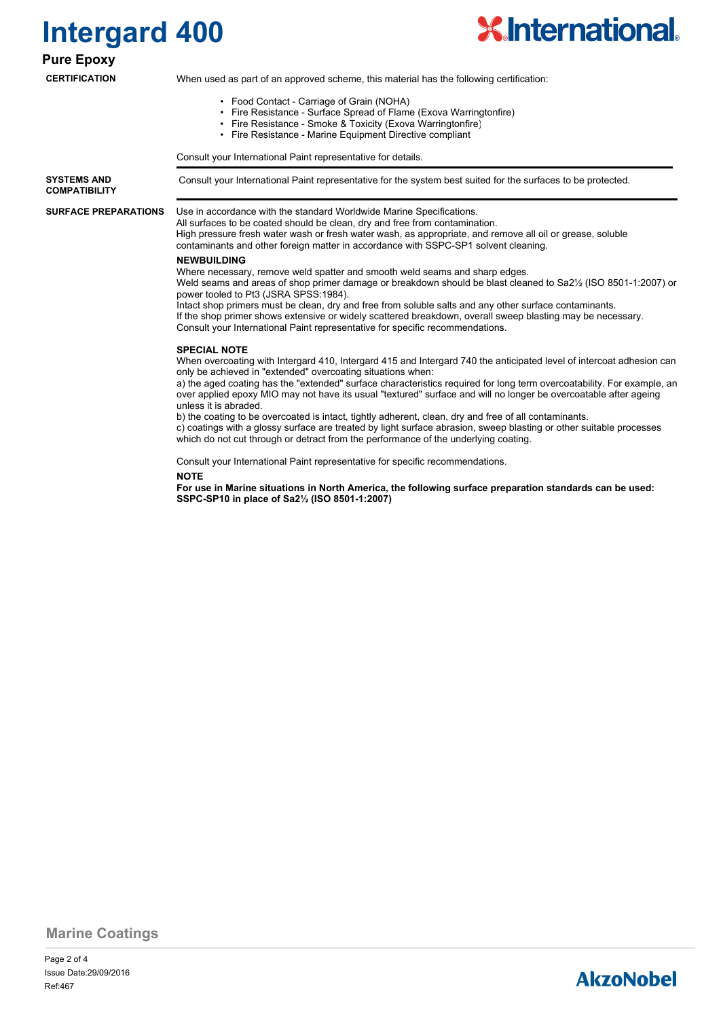



### **Pure Epoxy**

### **CERTIFICATION**

When used as part of an approved scheme, this material has the following certification:

- Food Contact Carriage of Grain (NOHA)
- Fire Resistance Surface Spread of Flame (Exova Warringtonfire)
- Fire Resistance Smoke & Toxicity (Exova Warringtonfire)
- Fire Resistance Marine Equipment Directive compliant

Consult your International Paint representative for details.

**SYSTEMS AND** Consult your International Paint representative for the system best suited for the surfaces to be protected. **COMPATIBILITY**

**SURFACE PREPARATIONS**

Use in accordance with the standard Worldwide Marine Specifications.

All surfaces to be coated should be clean, dry and free from contamination. High pressure fresh water wash or fresh water wash, as appropriate, and remove all oil or grease, soluble contaminants and other foreign matter in accordance with SSPC-SP1 solvent cleaning.

#### **NEWBUILDING**

Where necessary, remove weld spatter and smooth weld seams and sharp edges. Weld seams and areas of shop primer damage or breakdown should be blast cleaned to Sa2½ (ISO 8501-1:2007) or power tooled to Pt3 (JSRA SPSS:1984). Intact shop primers must be clean, dry and free from soluble salts and any other surface contaminants.

If the shop primer shows extensive or widely scattered breakdown, overall sweep blasting may be necessary. Consult your International Paint representative for specific recommendations.

#### **SPECIAL NOTE**

When overcoating with Intergard 410, Intergard 415 and Intergard 740 the anticipated level of intercoat adhesion can only be achieved in "extended" overcoating situations when:

a) the aged coating has the "extended" surface characteristics required for long term overcoatability. For example, an over applied epoxy MIO may not have its usual "textured" surface and will no longer be overcoatable after ageing unless it is abraded.

b) the coating to be overcoated is intact, tightly adherent, clean, dry and free of all contaminants. c) coatings with a glossy surface are treated by light surface abrasion, sweep blasting or other suitable processes which do not cut through or detract from the performance of the underlying coating.

Consult your International Paint representative for specific recommendations.

#### **NOTE**

**For use in Marine situations in North America, the following surface preparation standards can be used: SSPC-SP10 in place of Sa2½ (ISO 8501-1:2007)**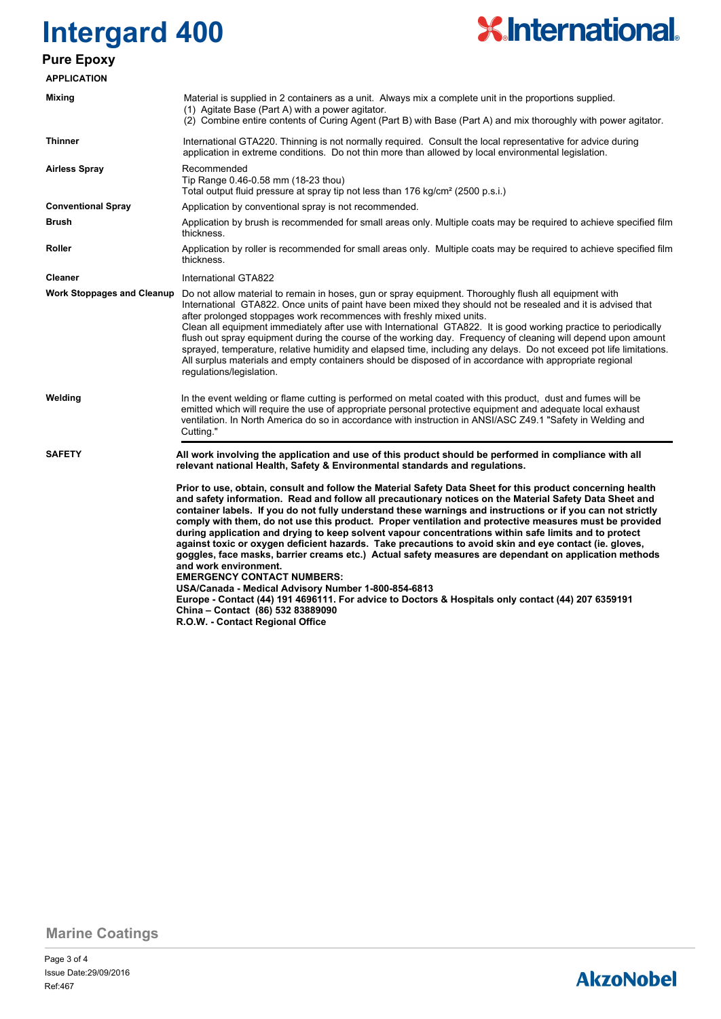# **Intergard 400 Pure Epoxy**

# **X.International.**

| <b>APPLICATION</b>                |                                                                                                                                                                                                                                                                                                                                                                                                                                                                                                                                                                                                                                                                                                                                                                                                                                                                                                                                                                                                                                                                                |  |  |  |
|-----------------------------------|--------------------------------------------------------------------------------------------------------------------------------------------------------------------------------------------------------------------------------------------------------------------------------------------------------------------------------------------------------------------------------------------------------------------------------------------------------------------------------------------------------------------------------------------------------------------------------------------------------------------------------------------------------------------------------------------------------------------------------------------------------------------------------------------------------------------------------------------------------------------------------------------------------------------------------------------------------------------------------------------------------------------------------------------------------------------------------|--|--|--|
| Mixing                            | Material is supplied in 2 containers as a unit. Always mix a complete unit in the proportions supplied.<br>(1) Agitate Base (Part A) with a power agitator.<br>(2) Combine entire contents of Curing Agent (Part B) with Base (Part A) and mix thoroughly with power agitator.                                                                                                                                                                                                                                                                                                                                                                                                                                                                                                                                                                                                                                                                                                                                                                                                 |  |  |  |
| <b>Thinner</b>                    | International GTA220. Thinning is not normally required. Consult the local representative for advice during<br>application in extreme conditions. Do not thin more than allowed by local environmental legislation.                                                                                                                                                                                                                                                                                                                                                                                                                                                                                                                                                                                                                                                                                                                                                                                                                                                            |  |  |  |
| <b>Airless Spray</b>              | Recommended<br>Tip Range 0.46-0.58 mm (18-23 thou)<br>Total output fluid pressure at spray tip not less than 176 kg/cm <sup>2</sup> (2500 p.s.i.)                                                                                                                                                                                                                                                                                                                                                                                                                                                                                                                                                                                                                                                                                                                                                                                                                                                                                                                              |  |  |  |
| <b>Conventional Spray</b>         | Application by conventional spray is not recommended.                                                                                                                                                                                                                                                                                                                                                                                                                                                                                                                                                                                                                                                                                                                                                                                                                                                                                                                                                                                                                          |  |  |  |
| <b>Brush</b>                      | Application by brush is recommended for small areas only. Multiple coats may be required to achieve specified film<br>thickness.                                                                                                                                                                                                                                                                                                                                                                                                                                                                                                                                                                                                                                                                                                                                                                                                                                                                                                                                               |  |  |  |
| Roller                            | Application by roller is recommended for small areas only. Multiple coats may be required to achieve specified film<br>thickness.                                                                                                                                                                                                                                                                                                                                                                                                                                                                                                                                                                                                                                                                                                                                                                                                                                                                                                                                              |  |  |  |
| <b>Cleaner</b>                    | International GTA822                                                                                                                                                                                                                                                                                                                                                                                                                                                                                                                                                                                                                                                                                                                                                                                                                                                                                                                                                                                                                                                           |  |  |  |
| <b>Work Stoppages and Cleanup</b> | Do not allow material to remain in hoses, gun or spray equipment. Thoroughly flush all equipment with<br>International GTA822. Once units of paint have been mixed they should not be resealed and it is advised that<br>after prolonged stoppages work recommences with freshly mixed units.<br>Clean all equipment immediately after use with International GTA822. It is good working practice to periodically<br>flush out spray equipment during the course of the working day. Frequency of cleaning will depend upon amount<br>sprayed, temperature, relative humidity and elapsed time, including any delays. Do not exceed pot life limitations.<br>All surplus materials and empty containers should be disposed of in accordance with appropriate regional<br>regulations/legislation.                                                                                                                                                                                                                                                                              |  |  |  |
| Welding                           | In the event welding or flame cutting is performed on metal coated with this product, dust and fumes will be<br>emitted which will require the use of appropriate personal protective equipment and adequate local exhaust<br>ventilation. In North America do so in accordance with instruction in ANSI/ASC Z49.1 "Safety in Welding and<br>Cutting."                                                                                                                                                                                                                                                                                                                                                                                                                                                                                                                                                                                                                                                                                                                         |  |  |  |
| <b>SAFETY</b>                     | All work involving the application and use of this product should be performed in compliance with all<br>relevant national Health, Safety & Environmental standards and regulations.                                                                                                                                                                                                                                                                                                                                                                                                                                                                                                                                                                                                                                                                                                                                                                                                                                                                                           |  |  |  |
|                                   | Prior to use, obtain, consult and follow the Material Safety Data Sheet for this product concerning health<br>and safety information. Read and follow all precautionary notices on the Material Safety Data Sheet and<br>container labels. If you do not fully understand these warnings and instructions or if you can not strictly<br>comply with them, do not use this product. Proper ventilation and protective measures must be provided<br>during application and drying to keep solvent vapour concentrations within safe limits and to protect<br>against toxic or oxygen deficient hazards. Take precautions to avoid skin and eye contact (ie. gloves,<br>goggles, face masks, barrier creams etc.) Actual safety measures are dependant on application methods<br>and work environment.<br><b>EMERGENCY CONTACT NUMBERS:</b><br>USA/Canada - Medical Advisory Number 1-800-854-6813<br>Europe - Contact (44) 191 4696111. For advice to Doctors & Hospitals only contact (44) 207 6359191<br>China - Contact (86) 532 83889090<br>R.O.W. - Contact Regional Office |  |  |  |

**Marine Coatings**